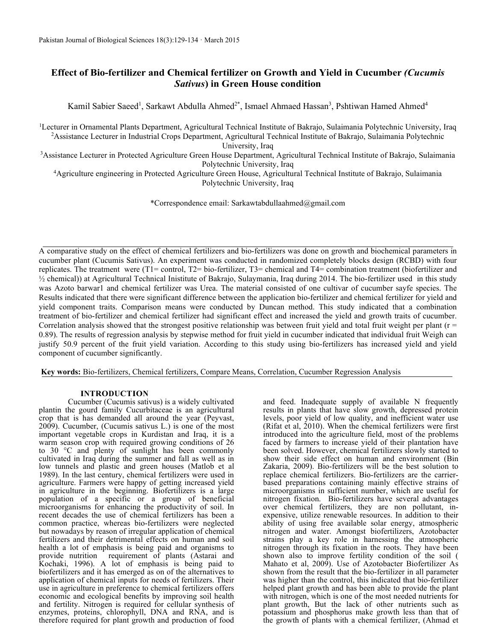# **Effect of Bio-fertilizer and Chemical fertilizer on Growth and Yield in Cucumber** *(Cucumis Sativus***) in Green House condition**

Kamil Sabier Saeed<sup>1</sup>, Sarkawt Abdulla Ahmed<sup>2\*</sup>, Ismael Ahmaed Hassan<sup>3</sup>, Pshtiwan Hamed Ahmed<sup>4</sup>

<sup>1</sup>Lecturer in Ornamental Plants Department, Agricultural Technical Institute of Bakrajo, Sulaimania Polytechnic University, Iraq <sup>2</sup>Assistance Lecturer in Industrial Crops Department, Agricultural Technical Institute of Bakrajo, Sulaimania Polytechnic University, Iraq

<sup>3</sup>Assistance Lecturer in Protected Agriculture Green House Department, Agricultural Technical Institute of Bakrajo, Sulaimania Polytechnic University, Iraq

<sup>4</sup>Agriculture engineering in Protected Agriculture Green House, Agricultural Technical Institute of Bakrajo, Sulaimania Polytechnic University, Iraq

\*Correspondence email: Sarkawtabdullaahmed@gmail.com

A comparative study on the effect of chemical fertilizers and bio-fertilizers was done on growth and biochemical parameters in cucumber plant (Cucumis Sativus). An experiment was conducted in randomized completely blocks design (RCBD) with four replicates. The treatment were (T1= control, T2= bio-fertilizer, T3= chemical and T4= combination treatment (biofertilizer and ½ chemical)) at Agricultural Technical Inistitute of Bakrajo, Sulaymania, Iraq during 2014. The bio-fertilizer used in this study was Azoto barwar1 and chemical fertilizer was Urea. The material consisted of one cultivar of cucumber sayfe species. The Results indicated that there were significant difference between the application bio-fertilizer and chemical fertilizer for yield and yield component traits. Comparison means were conducted by Duncan method. This study indicated that a combination treatment of bio-fertilizer and chemical fertilizer had significant effect and increased the yield and growth traits of cucumber. Correlation analysis showed that the strongest positive relationship was between fruit yield and total fruit weight per plant ( $r =$ 0.89). The results of regression analysis by stepwise method for fruit yield in cucumber indicated that individual fruit Weigh can justify 50.9 percent of the fruit yield variation. According to this study using bio-fertilizers has increased yield and yield component of cucumber significantly.

**Key words:** Bio-fertilizers, Chemical fertilizers, Compare Means, Correlation, Cucumber Regression Analysis

### **INTRODUCTION**

Cucumber (Cucumis sativus) is a widely cultivated plantin the gourd family Cucurbitaceae is an agricultural crop that is has demanded all around the year (Peyvast, 2009). Cucumber, (Cucumis sativus L.) is one of the most important vegetable crops in Kurdistan and Iraq, it is a warm season crop with required growing conditions of 26 to 30 °C and plenty of sunlight has been commonly cultivated in Iraq during the summer and fall as well as in low tunnels and plastic and green houses (Matlob et al 1989). In the last century, chemical fertilizers were used in agriculture. Farmers were happy of getting increased yield in agriculture in the beginning. Biofertilizers is a large population of a specific or a group of beneficial microorganisms for enhancing the productivity of soil. In recent decades the use of chemical fertilizers has been a common practice, whereas bio-fertilizers were neglected but nowadays by reason of irregular application of chemical fertilizers and their detrimental effects on human and soil health a lot of emphasis is being paid and organisms to provide nutrition requirement of plants (Astarai and Kochaki, 1996). A lot of emphasis is being paid to biofertilizers and it has emerged as on of the alternatives to application of chemical inputs for needs of fertilizers. Their use in agriculture in preference to chemical fertilizers offers economic and ecological benefits by improving soil health and fertility. Nitrogen is required for cellular synthesis of enzymes, proteins, chlorophyll, DNA and RNA, and is therefore required for plant growth and production of food and feed. Inadequate supply of available N frequently results in plants that have slow growth, depressed protein levels, poor yield of low quality, and inefficient water use (Rifat et al, 2010). When the chemical fertilizers were first introduced into the agriculture field, most of the problems faced by farmers to increase yield of their plantation have been solved. However, chemical fertilizers slowly started to show their side effect on human and environment (Bin Zakaria, 2009). Bio-fertilizers will be the best solution to replace chemical fertilizers. Bio-fertilizers are the carrierbased preparations containing mainly effective strains of microorganisms in sufficient number, which are useful for nitrogen fixation. Bio-fertilizers have several advantages over chemical fertilizers, they are non pollutant, inexpensive, utilize renewable resources. In addition to their ability of using free available solar energy, atmospheric nitrogen and water. Amongst biofertilizers, Azotobacter strains play a key role in harnessing the atmospheric nitrogen through its fixation in the roots. They have been shown also to improve fertility condition of the soil ( Mahato et al, 2009). Use of Azotobacter Biofertilizer As shown from the result that the bio-fertilizer in all parameter was higher than the control, this indicated that bio-fertilizer helped plant growth and has been able to provide the plant with nitrogen, which is one of the most needed nutrients for plant growth, But the lack of other nutrients such as potassium and phosphorus make growth less than that of the growth of plants with a chemical fertilizer, (Ahmad et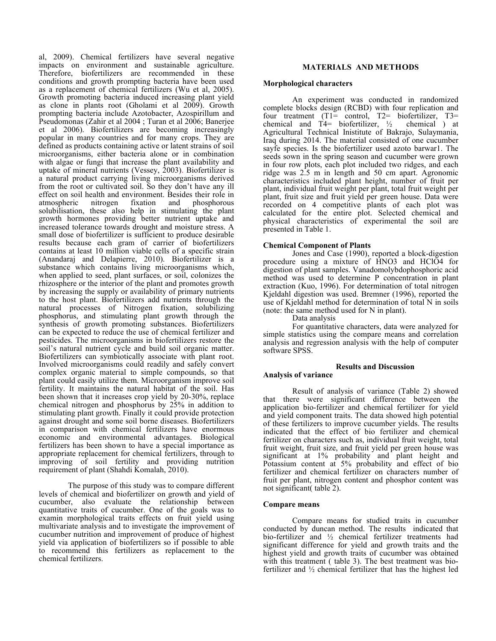al, 2009). Chemical fertilizers have several negative impacts on environment and sustainable agriculture. Therefore, biofertilizers are recommended in these conditions and growth prompting bacteria have been used as a replacement of chemical fertilizers (Wu et al, 2005). Growth promoting bacteria induced increasing plant yield as clone in plants root (Gholami et al 2009). Growth prompting bacteria include Azotobacter, Azospirillum and Pseudomonas (Zahir et al 2004 ; Turan et al 2006; Banerjee et al 2006). Biofertilizers are becoming increasingly popular in many countries and for many crops. They are defined as products containing active or latent strains of soil microorganisms, either bacteria alone or in combination with algae or fungi that increase the plant availability and uptake of mineral nutrients (Vessey, 2003). Biofertilizer is a natural product carrying living microorganisms derived from the root or cultivated soil. So they don't have any ill effect on soil health and environment. Besides their role in atmospheric nitrogen fixation and phosphorous atmospheric nitrogen fixation and solubilisation, these also help in stimulating the plant growth hormones providing better nutrient uptake and increased tolerance towards drought and moisture stress. A small dose of biofertilizer is sufficient to produce desirable results because each gram of carrier of biofertilizers contains at least 10 million viable cells of a specific strain (Anandaraj and Delapierre, 2010). Biofertilizer is a substance which contains living microorganisms which, when applied to seed, plant surfaces, or soil, colonizes the rhizosphere or the interior of the plant and promotes growth by increasing the supply or availability of primary nutrients to the host plant. Biofertilizers add nutrients through the natural processes of Nitrogen fixation, solubilizing phosphorus, and stimulating plant growth through the synthesis of growth promoting substances. Biofertilizers can be expected to reduce the use of chemical fertilizer and pesticides. The microorganisms in biofertilizers restore the soil's natural nutrient cycle and build soil organic matter. Biofertilizers can symbiotically associate with plant root. Involved microorganisms could readily and safely convert complex organic material to simple compounds, so that plant could easily utilize them. Microorganism improve soil fertility. It maintains the natural habitat of the soil. Has been shown that it increases crop yield by 20-30%, replace chemical nitrogen and phosphorus by 25% in addition to stimulating plant growth. Finally it could provide protection against drought and some soil borne diseases. Biofertilizers in comparison with chemical fertilizers have enormous economic and environmental advantages. Biological fertilizers has been shown to have a special importance as appropriate replacement for chemical fertilizers, through to improving of soil fertility and providing nutrition requirement of plant (Shahdi Komalah, 2010).

The purpose of this study was to compare different levels of chemical and biofertilizer on growth and yield of cucumber, also evaluate the relationship between quantitative traits of cucumber. One of the goals was to examin morphological traits effects on fruit yield using multivariate analysis and to investigate the improvement of cucumber nutrition and improvement of produce of highest yield via application of biofertilizers so if possible to able to recommend this fertilizers as replacement to the chemical fertilizers.

### **MATERIALS AND METHODS**

#### **Morphological characters**

An experiment was conducted in randomized complete blocks design (RCBD) with four replication and four treatment (T1= control, T2= biofertilizer, T3= chemical and T4= biofertilizer,  $\frac{1}{2}$  chemical  $\frac{1}{2}$  at Agricultural Technical Inistitute of Bakrajo, Sulaymania, Iraq during 2014. The material consisted of one cucumber sayfe species. Is the biofertilizer used azoto barwar1. The seeds sown in the spring season and cucumber were grown in four row plots, each plot included two ridges, and each ridge was 2.5 m in length and 50 cm apart. Agronomic characteristics included plant height, number of fruit per plant, individual fruit weight per plant, total fruit weight per plant, fruit size and fruit yield per green house. Data were recorded on 4 competitive plants of each plot was calculated for the entire plot. Selected chemical and physical characteristics of experimental the soil are presented in Table 1.

#### **Chemical Component of Plants**

Jones and Case (1990), reported a block-digestion procedure using a mixture of HNO3 and HClO4 for digestion of plant samples. Vanadomolybdophosphoric acid method was used to determine P concentration in plant extraction (Kuo, 1996). For determination of total nitrogen Kjeldahl digestion was used. Bremner (1996), reported the use of Kjeldahl method for determination of total N in soils (note: the same method used for N in plant).

Data analysis

For quantitative characters, data were analyzed for simple statistics using the compare means and correlation analysis and regression analysis with the help of computer software SPSS.

#### **Results and Discussion**

### **Analysis of variance**

Result of analysis of variance (Table 2) showed that there were significant difference between the application bio-fertilizer and chemical fertilizer for yield and yield component traits. The data showed high potential of these fertilizers to improve cucumber yields. The results indicated that the effect of bio fertilizer and chemical fertilizer on characters such as, individual fruit weight, total fruit weight, fruit size, and fruit yield per green house was significant at 1% probability and plant height and Potassium content at 5% probability and effect of bio fertilizer and chemical fertilizer on characters number of fruit per plant, nitrogen content and phosphor content was not significant( table 2).

### **Compare means**

Compare means for studied traits in cucumber conducted by duncan method. The results indicated that bio-fertilizer and ½ chemical fertilizer treatments had significant difference for yield and growth traits and the highest yield and growth traits of cucumber was obtained with this treatment ( table 3). The best treatment was biofertilizer and ½ chemical fertilizer that has the highest led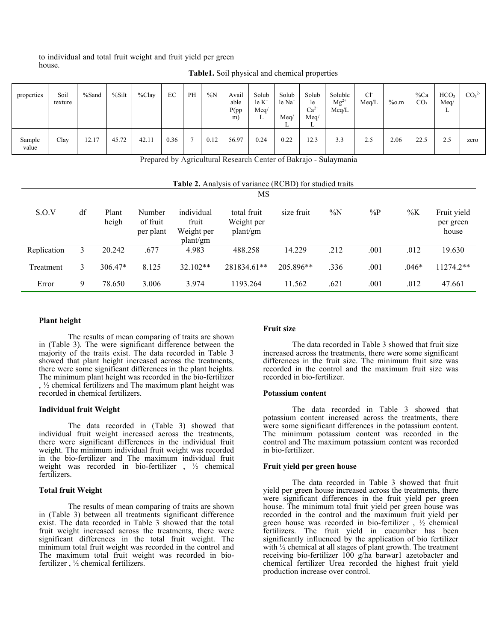#### to individual and total fruit weight and fruit yield per green house.

| properties      | Soil<br>texture | %Sand | %Silt | $\%$ Clay | EC   | PH | $\%N$ | Avail<br>able<br>P(pp)<br>m) | Solub<br>$le K^+$<br>Meq/<br>⊷ | Solub<br>le Na <sup>+</sup><br>Meq/<br>∸ | Solub<br>le<br>$Ca^{2+}$<br>Meq/<br>∸ | Soluble<br>$Mg^{2+}$<br>Meq/L | Cl <sup>2</sup><br>Meq/L | %o.m | $\%Ca$<br>CO <sub>3</sub> | HCO <sub>3</sub><br>Meq/<br>∸ | CO <sub>3</sub> <sup>2</sup> |
|-----------------|-----------------|-------|-------|-----------|------|----|-------|------------------------------|--------------------------------|------------------------------------------|---------------------------------------|-------------------------------|--------------------------|------|---------------------------|-------------------------------|------------------------------|
| Sample<br>value | Clay            | 12.17 | 45.72 | 42.11     | 0.36 |    | 0.12  | 56.97                        | 0.24                           | 0.22                                     | 12.3                                  | 3.3                           | 2.5                      | 2.06 | 22.5                      | 2.5                           | zero                         |

**Table1.** Soil physical and chemical properties

Prepared by Agricultural Research Center of Bakrajo - Sulaymania

| MS          |    |                |                                 |                                               |                                       |            |       |       |         |                                   |
|-------------|----|----------------|---------------------------------|-----------------------------------------------|---------------------------------------|------------|-------|-------|---------|-----------------------------------|
| S.O.V       | df | Plant<br>heigh | Number<br>of fruit<br>per plant | individual<br>fruit<br>Weight per<br>plant/gm | total fruit<br>Weight per<br>plant/gm | size fruit | $\%N$ | $\%P$ | $\%K$   | Fruit yield<br>per green<br>house |
| Replication | 3  | 20.242         | .677                            | 4.983                                         | 488.258                               | 14.229     | .212  | .001  | .012    | 19.630                            |
| Treatment   | 3  | $306.47*$      | 8.125                           | 32.102**                                      | 281834.61**                           | 205.896**  | .336  | .001  | $.046*$ | $11274.2**$                       |
| Error       | 9  | 78.650         | 3.006                           | 3.974                                         | 1193.264                              | 11.562     | .621  | .001  | .012    | 47.661                            |

### **Plant height**

The results of mean comparing of traits are shown in (Table 3). The were significant difference between the majority of the traits exist. The data recorded in Table 3 showed that plant height increased across the treatments, there were some significant differences in the plant heights. The minimum plant height was recorded in the bio-fertilizer , ½ chemical fertilizers and The maximum plant height was recorded in chemical fertilizers.

### **Individual fruit Weight**

The data recorded in (Table 3) showed that individual fruit weight increased across the treatments, there were significant differences in the individual fruit weight. The minimum individual fruit weight was recorded in the bio-fertilizer and The maximum individual fruit weight was recorded in bio-fertilizer , ½ chemical fertilizers.

### **Total fruit Weight**

The results of mean comparing of traits are shown in (Table 3) between all treatments significant difference exist. The data recorded in Table 3 showed that the total fruit weight increased across the treatments, there were significant differences in the total fruit weight. The minimum total fruit weight was recorded in the control and The maximum total fruit weight was recorded in biofertilizer , ½ chemical fertilizers.

#### **Fruit size**

The data recorded in Table 3 showed that fruit size increased across the treatments, there were some significant differences in the fruit size. The minimum fruit size was recorded in the control and the maximum fruit size was recorded in bio-fertilizer.

#### **Potassium content**

The data recorded in Table 3 showed that potassium content increased across the treatments, there were some significant differences in the potassium content. The minimum potassium content was recorded in the control and The maximum potassium content was recorded in bio-fertilizer.

#### **Fruit yield per green house**

The data recorded in Table 3 showed that fruit yield per green house increased across the treatments, there were significant differences in the fruit yield per green house. The minimum total fruit yield per green house was recorded in the control and the maximum fruit yield per green house was recorded in bio-fertilizer , ½ chemical fertilizers. The fruit yield in cucumber has been significantly influenced by the application of bio fertilizer with <sup>1/2</sup> chemical at all stages of plant growth. The treatment receiving bio-fertilizer 100 g/ha barwar1 azetobacter and chemical fertilizer Urea recorded the highest fruit yield production increase over control.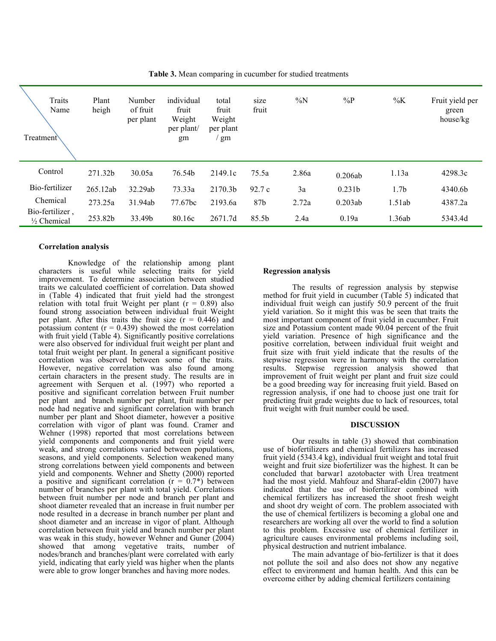| Traits<br>Name<br>Treatment\    | Plant<br>heigh | Number<br>of fruit<br>per plant | individual<br>fruit<br>Weight<br>per plant/<br>gm | total<br>fruit<br>Weight<br>per plant<br>gm | size<br>fruit | $\%N$ | $\%P$   | $\%K$            | Fruit yield per<br>green<br>house/kg |
|---------------------------------|----------------|---------------------------------|---------------------------------------------------|---------------------------------------------|---------------|-------|---------|------------------|--------------------------------------|
| Control                         | 271.32b        | 30.05a                          | 76.54b                                            | 2149.1c                                     | 75.5a         | 2.86a | 0.206ab | 1.13a            | 4298.3c                              |
| Bio-fertilizer                  | 265.12ab       | 32.29ab                         | 73.33a                                            | 2170.3b                                     | 92.7c         | 3a    | 0.231b  | 1.7 <sub>b</sub> | 4340.6b                              |
| Chemical                        | 273.25a        | 31.94ab                         | 77.67bc                                           | 2193.6a                                     | 87b           | 2.72a | 0.203ab | 1.51ab           | 4387.2a                              |
| Bio-fertilizer,<br>1/2 Chemical | 253.82b        | 33.49b                          | 80.16c                                            | 2671.7d                                     | 85.5b         | 2.4a  | 0.19a   | 1.36ab           | 5343.4d                              |

**Table 3.** Mean comparing in cucumber for studied treatments

### **Correlation analysis**

Knowledge of the relationship among plant characters is useful while selecting traits for yield improvement. To determine association between studied traits we calculated coefficient of correlation. Data showed in (Table 4) indicated that fruit yield had the strongest relation with total fruit Weight per plant  $(r = 0.89)$  also found strong association between individual fruit Weight per plant. After this traits the fruit size  $(r = 0.446)$  and potassium content ( $r = 0.439$ ) showed the most correlation with fruit yield (Table 4). Significantly positive correlations were also observed for individual fruit weight per plant and total fruit weight per plant. In general a significant positive correlation was observed between some of the traits. However, negative correlation was also found among certain characters in the present study. The results are in agreement with Serquen et al. (1997) who reported a positive and significant correlation between Fruit number per plant and branch number per plant, fruit number per node had negative and significant correlation with branch number per plant and Shoot diameter, however a positive correlation with vigor of plant was found. Cramer and Wehner (1998) reported that most correlations between yield components and components and fruit yield were weak, and strong correlations varied between populations, seasons, and yield components. Selection weakened many strong correlations between yield components and between yield and components. Wehner and Shetty (2000) reported a positive and significant correlation  $(r = 0.7^*)$  between number of branches per plant with total yield. Correlations between fruit number per node and branch per plant and shoot diameter revealed that an increase in fruit number per node resulted in a decrease in branch number per plant and shoot diameter and an increase in vigor of plant. Although correlation between fruit yield and branch number per plant was weak in this study, however Wehner and Guner (2004) showed that among vegetative traits, number of nodes/branch and branches/plant were correlated with early yield, indicating that early yield was higher when the plants were able to grow longer branches and having more nodes.

#### **Regression analysis**

The results of regression analysis by stepwise method for fruit yield in cucumber (Table 5) indicated that individual fruit weigh can justify 50.9 percent of the fruit yield variation. So it might this was be seen that traits the most important component of fruit yield in cucumber. Fruit size and Potassium content made 90.04 percent of the fruit yield variation. Presence of high significance and the positive correlation, between individual fruit weight and fruit size with fruit yield indicate that the results of the stepwise regression were in harmony with the correlation results. Stepwise regression analysis showed that improvement of fruit weight per plant and fruit size could be a good breeding way for increasing fruit yield. Based on regression analysis, if one had to choose just one trait for predicting fruit grade weights due to lack of resources, total fruit weight with fruit number could be used.

#### **DISCUSSION**

Our results in table (3) showed that combination use of biofertilizers and chemical fertilizers has increased fruit yield (5343.4 kg), individual fruit weight and total fruit weight and fruit size biofertilizer was the highest. It can be concluded that barwar1 azotobacter with Urea treatment had the most yield. Mahfouz and Sharaf-eldin (2007) have indicated that the use of biofertilizer combined with chemical fertilizers has increased the shoot fresh weight and shoot dry weight of corn. The problem associated with the use of chemical fertilizers is becoming a global one and researchers are working all over the world to find a solution to this problem. Excessive use of chemical fertilizer in agriculture causes environmental problems including soil, physical destruction and nutrient imbalance.

The main advantage of bio-fertilizer is that it does not pollute the soil and also does not show any negative effect to environment and human health. And this can be overcome either by adding chemical fertilizers containing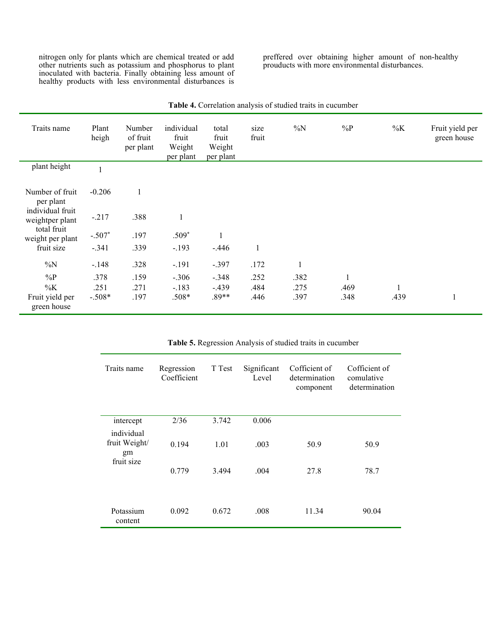nitrogen only for plants which are chemical treated or add other nutrients such as potassium and phosphorus to plant inoculated with bacteria. Finally obtaining less amount of healthy products with less environmental disturbances is preffered over obtaining higher amount of non-healthy prouducts with more environmental disturbances.

| Traits name                         | Plant<br>heigh | Number<br>of fruit<br>per plant | individual<br>fruit<br>Weight<br>per plant | total<br>fruit<br>Weight<br>per plant | size<br>fruit | $\%N$        | $\%P$ | $\%K$ | Fruit yield per<br>green house |
|-------------------------------------|----------------|---------------------------------|--------------------------------------------|---------------------------------------|---------------|--------------|-------|-------|--------------------------------|
| plant height                        | $\mathbf{1}$   |                                 |                                            |                                       |               |              |       |       |                                |
| Number of fruit<br>per plant        | $-0.206$       |                                 |                                            |                                       |               |              |       |       |                                |
| individual fruit<br>weightper plant | $-.217$        | .388                            |                                            |                                       |               |              |       |       |                                |
| total fruit<br>weight per plant     | $-.507*$       | .197                            | $.509*$                                    |                                       |               |              |       |       |                                |
| fruit size                          | $-.341$        | .339                            | $-.193$                                    | $-.446$                               | $\mathbf{1}$  |              |       |       |                                |
| $\%N$                               | $-.148$        | .328                            | $-.191$                                    | $-.397$                               | .172          | $\mathbf{1}$ |       |       |                                |
| $\%P$                               | .378           | .159                            | $-.306$                                    | $-.348$                               | .252          | .382         |       |       |                                |
| $\%K$                               | .251           | .271                            | $-.183$                                    | $-.439$                               | .484          | .275         | .469  |       |                                |
| Fruit yield per<br>green house      | $-.508*$       | .197                            | $.508*$                                    | $.89**$                               | .446          | .397         | .348  | .439  | $\mathbf{I}$                   |

**Table 4.** Correlation analysis of studied traits in cucumber

| Traits name                                     | Regression<br>Coefficient | T Test        | Significant<br>Level | Cofficient of<br>determination<br>component | Cofficient of<br>comulative<br>determination |
|-------------------------------------------------|---------------------------|---------------|----------------------|---------------------------------------------|----------------------------------------------|
| intercept                                       | 2/36                      | 3.742         | 0.006                |                                             |                                              |
| individual<br>fruit Weight/<br>gm<br>fruit size | 0.194<br>0.779            | 1.01<br>3.494 | .003<br>.004         | 50.9<br>27.8                                | 50.9<br>78.7                                 |
| Potassium<br>content                            | 0.092                     | 0.672         | .008                 | 11.34                                       | 90.04                                        |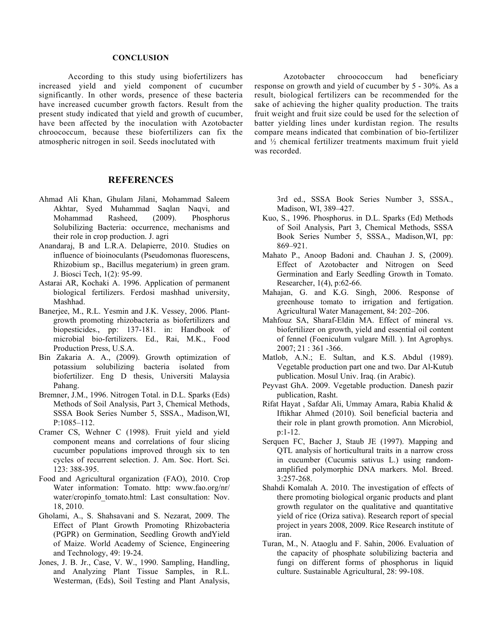### **CONCLUSION**

According to this study using biofertilizers has increased yield and yield component of cucumber significantly. In other words, presence of these bacteria have increased cucumber growth factors. Result from the present study indicated that yield and growth of cucumber, have been affected by the inoculation with Azotobacter chroococcum, because these biofertilizers can fix the atmospheric nitrogen in soil. Seeds inoclutated with

## **REFERENCES**

- Ahmad Ali Khan, Ghulam Jilani, Mohammad Saleem Akhtar, Syed Muhammad Saqlan Naqvi, and Mohammad Rasheed, (2009). Phosphorus Solubilizing Bacteria: occurrence, mechanisms and their role in crop production. J. agri
- Anandaraj, B and L.R.A. Delapierre, 2010. Studies on influence of bioinoculants (Pseudomonas fluorescens, Rhizobium sp., Bacillus megaterium) in green gram. J. Biosci Tech, 1(2): 95-99.
- Astarai AR, Kochaki A. 1996. Application of permanent biological fertilizers. Ferdosi mashhad university, Mashhad.
- Banerjee, M., R.L. Yesmin and J.K. Vessey, 2006. Plantgrowth promoting rhizobacteria as biofertilizers and biopesticides., pp: 137-181. in: Handbook of microbial bio-fertilizers. Ed., Rai, M.K., Food Production Press, U.S.A.
- Bin Zakaria A. A., (2009). Growth optimization of potassium solubilizing bacteria isolated from biofertilizer. Eng D thesis, Universiti Malaysia Pahang.
- Bremner, J.M., 1996. Nitrogen Total. in D.L. Sparks (Eds) Methods of Soil Analysis, Part 3, Chemical Methods, SSSA Book Series Number 5, SSSA., Madison,WI, P:1085–112.
- Cramer CS, Wehner C (1998). Fruit yield and yield component means and correlations of four slicing cucumber populations improved through six to ten cycles of recurrent selection. J. Am. Soc. Hort. Sci. 123: 388-395.
- Food and Agricultural organization (FAO), 2010. Crop Water information: Tomato. http: www.fao.org/nr/ water/cropinfo\_tomato.html: Last consultation: Nov. 18, 2010.
- Gholami, A., S. Shahsavani and S. Nezarat, 2009. The Effect of Plant Growth Promoting Rhizobacteria (PGPR) on Germination, Seedling Growth andYield of Maize. World Academy of Science, Engineering and Technology, 49: 19-24.
- Jones, J. B. Jr., Case, V. W., 1990. Sampling, Handling, and Analyzing Plant Tissue Samples, in R.L. Westerman, (Eds), Soil Testing and Plant Analysis,

Azotobacter chroococcum had beneficiary response on growth and yield of cucumber by 5 - 30%. As a result, biological fertilizers can be recommended for the sake of achieving the higher quality production. The traits fruit weight and fruit size could be used for the selection of batter yielding lines under kurdistan region. The results compare means indicated that combination of bio-fertilizer and ½ chemical fertilizer treatments maximum fruit yield was recorded.

> 3rd ed., SSSA Book Series Number 3, SSSA., Madison, WI, 389–427.

- Kuo, S., 1996. Phosphorus. in D.L. Sparks (Ed) Methods of Soil Analysis, Part 3, Chemical Methods, SSSA Book Series Number 5, SSSA., Madison,WI, pp: 869–921.
- Mahato P., Anoop Badoni and. Chauhan J. S, (2009). Effect of Azotobacter and Nitrogen on Seed Germination and Early Seedling Growth in Tomato. Researcher, 1(4), p:62-66.
- Mahajan, G. and K.G. Singh, 2006. Response of greenhouse tomato to irrigation and fertigation. Agricultural Water Management, 84: 202–206.
- Mahfouz SA, Sharaf-Eldin MA. Effect of mineral vs. biofertilizer on growth, yield and essential oil content of fennel (Foeniculum vulgare Mill. ). Int Agrophys. 2007; 21 : 361 -366.
- Matlob, A.N.; E. Sultan, and K.S. Abdul (1989). Vegetable production part one and two. Dar Al-Kutub publication. Mosul Univ. Iraq. (in Arabic).
- Peyvast GhA. 2009. Vegetable production. Danesh pazir publication, Rasht.
- Rifat Hayat , Safdar Ali, Ummay Amara, Rabia Khalid & Iftikhar Ahmed (2010). Soil beneficial bacteria and their role in plant growth promotion. Ann Microbiol, p:1-12.
- Serquen FC, Bacher J, Staub JE (1997). Mapping and QTL analysis of horticultural traits in a narrow cross in cucumber (Cucumis sativus L.) using randomamplified polymorphic DNA markers. Mol. Breed. 3:257-268.
- Shahdi Komalah A. 2010. The investigation of effects of there promoting biological organic products and plant growth regulator on the qualitative and quantitative yield of rice (Oriza sativa). Research report of special project in years 2008, 2009. Rice Research institute of iran.
- Turan, M., N. Ataoglu and F. Sahin, 2006. Evaluation of the capacity of phosphate solubilizing bacteria and fungi on different forms of phosphorus in liquid culture. Sustainable Agricultural, 28: 99-108.